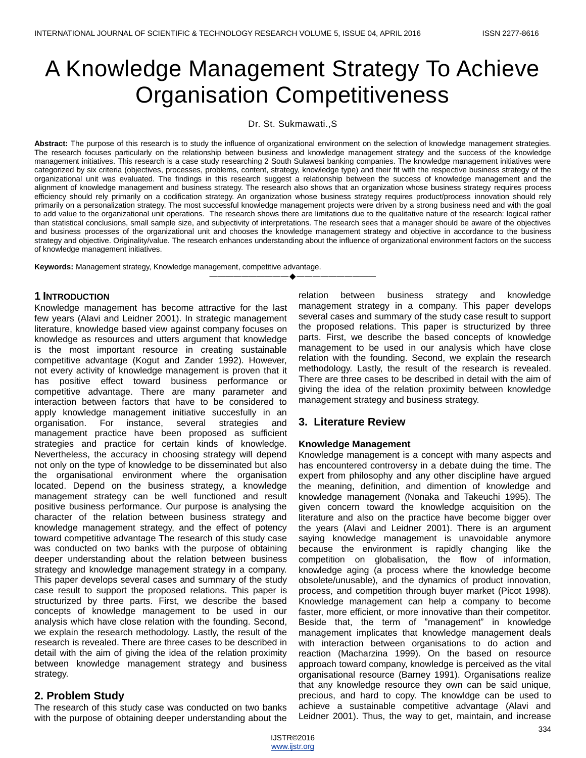# A Knowledge Management Strategy To Achieve Organisation Competitiveness

Dr. St. Sukmawati.,S

Abstract: The purpose of this research is to study the influence of organizational environment on the selection of knowledge management strategies. The research focuses particularly on the relationship between business and knowledge management strategy and the success of the knowledge management initiatives. This research is a case study researching 2 South Sulawesi banking companies. The knowledge management initiatives were categorized by six criteria (objectives, processes, problems, content, strategy, knowledge type) and their fit with the respective business strategy of the organizational unit was evaluated. The findings in this research suggest a relationship between the success of knowledge management and the alignment of knowledge management and business strategy. The research also shows that an organization whose business strategy requires process efficiency should rely primarily on a codification strategy. An organization whose business strategy requires product/process innovation should rely primarily on a personalization strategy. The most successful knowledge management projects were driven by a strong business need and with the goal to add value to the organizational unit operations. The research shows there are limitations due to the qualitative nature of the research: logical rather than statistical conclusions, small sample size, and subjectivity of interpretations. The research sees that a manager should be aware of the objectives and business processes of the organizational unit and chooses the knowledge management strategy and objective in accordance to the business strategy and objective. Originality/value. The research enhances understanding about the influence of organizational environment factors on the success of knowledge management initiatives.

—————————**————————**——————————

**Keywords:** Management strategy, Knowledge management, competitive advantage.

## **1 INTRODUCTION**

Knowledge management has become attractive for the last few years (Alavi and Leidner 2001). In strategic management literature, knowledge based view against company focuses on knowledge as resources and utters argument that knowledge is the most important resource in creating sustainable competitive advantage (Kogut and Zander 1992). However, not every activity of knowledge management is proven that it has positive effect toward business performance or competitive advantage. There are many parameter and interaction between factors that have to be considered to apply knowledge management initiative succesfully in an organisation. For instance, several strategies and management practice have been proposed as sufficient strategies and practice for certain kinds of knowledge. Nevertheless, the accuracy in choosing strategy will depend not only on the type of knowledge to be disseminated but also the organisational environment where the organisation located. Depend on the business strategy, a knowledge management strategy can be well functioned and result positive business performance. Our purpose is analysing the character of the relation between business strategy and knowledge management strategy, and the effect of potency toward competitive advantage The research of this study case was conducted on two banks with the purpose of obtaining deeper understanding about the relation between business strategy and knowledge management strategy in a company. This paper develops several cases and summary of the study case result to support the proposed relations. This paper is structurized by three parts. First, we describe the based concepts of knowledge management to be used in our analysis which have close relation with the founding. Second, we explain the research methodology. Lastly, the result of the research is revealed. There are three cases to be described in detail with the aim of giving the idea of the relation proximity between knowledge management strategy and business strategy.

# **2. Problem Study**

The research of this study case was conducted on two banks with the purpose of obtaining deeper understanding about the relation between business strategy and knowledge management strategy in a company. This paper develops several cases and summary of the study case result to support the proposed relations. This paper is structurized by three parts. First, we describe the based concepts of knowledge management to be used in our analysis which have close relation with the founding. Second, we explain the research methodology. Lastly, the result of the research is revealed. There are three cases to be described in detail with the aim of giving the idea of the relation proximity between knowledge management strategy and business strategy.

# **3. Literature Review**

## **Knowledge Management**

Knowledge management is a concept with many aspects and has encountered controversy in a debate duing the time. The expert from philosophy and any other discipline have argued the meaning, definition, and dimention of knowledge and knowledge management (Nonaka and Takeuchi 1995). The given concern toward the knowledge acquisition on the literature and also on the practice have become bigger over the years (Alavi and Leidner 2001). There is an argument saying knowledge management is unavoidable anymore because the environment is rapidly changing like the competition on globalisation, the flow of information, knowledge aging (a process where the knowledge become obsolete/unusable), and the dynamics of product innovation, process, and competition through buyer market (Picot 1998). Knowledge management can help a company to become faster, more efficient, or more innovative than their competitor. Beside that, the term of "management" in knowledge management implicates that knowledge management deals with interaction between organisations to do action and reaction (Macharzina 1999). On the based on resource approach toward company, knowledge is perceived as the vital organisational resource (Barney 1991). Organisations realize that any knowledge resource they own can be said unique, precious, and hard to copy. The knowldge can be used to achieve a sustainable competitive advantage (Alavi and Leidner 2001). Thus, the way to get, maintain, and increase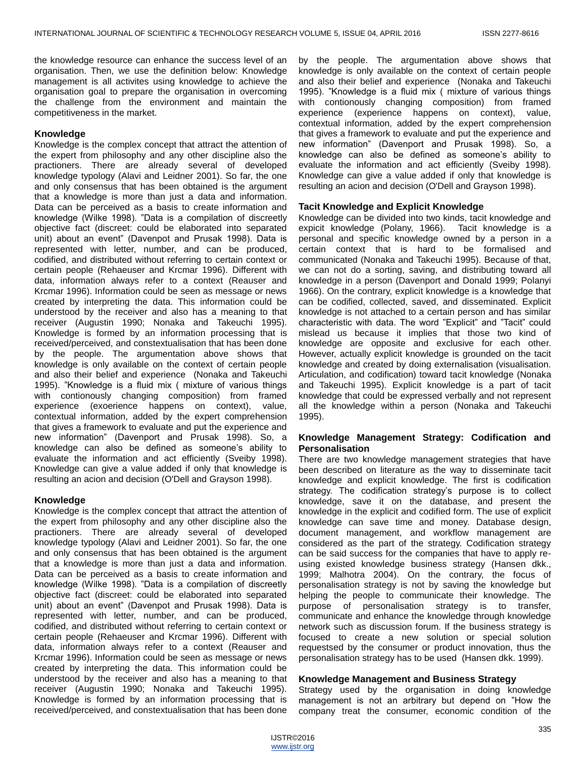the knowledge resource can enhance the success level of an organisation. Then, we use the definition below: Knowledge management is all activites using knowledge to achieve the organisation goal to prepare the organisation in overcoming the challenge from the environment and maintain the competitiveness in the market.

## **Knowledge**

Knowledge is the complex concept that attract the attention of the expert from philosophy and any other discipline also the practioners. There are already several of developed knowledge typology (Alavi and Leidner 2001). So far, the one and only consensus that has been obtained is the argument that a knowledge is more than just a data and information. Data can be perceived as a basis to create information and knowledge (Wilke 1998). "Data is a compilation of discreetly objective fact (discreet: could be elaborated into separated unit) about an event" (Davenpot and Prusak 1998). Data is represented with letter, number, and can be produced, codified, and distributed without referring to certain context or certain people (Rehaeuser and Krcmar 1996). Different with data, information always refer to a context (Reauser and Krcmar 1996). Information could be seen as message or news created by interpreting the data. This information could be understood by the receiver and also has a meaning to that receiver (Augustin 1990; Nonaka and Takeuchi 1995). Knowledge is formed by an information processing that is received/perceived, and constextualisation that has been done by the people. The argumentation above shows that knowledge is only available on the context of certain people and also their belief and experience (Nonaka and Takeuchi 1995). "Knowledge is a fluid mix ( mixture of various things with contionously changing composition) from framed experience (exoerience happens on context), value, contextual information, added by the expert comprehension that gives a framework to evaluate and put the experience and new information" (Davenport and Prusak 1998). So, a knowledge can also be defined as someone's ability to evaluate the information and act efficiently (Sveiby 1998). Knowledge can give a value added if only that knowledge is resulting an acion and decision (O'Dell and Grayson 1998).

## **Knowledge**

Knowledge is the complex concept that attract the attention of the expert from philosophy and any other discipline also the practioners. There are already several of developed knowledge typology (Alavi and Leidner 2001). So far, the one and only consensus that has been obtained is the argument that a knowledge is more than just a data and information. Data can be perceived as a basis to create information and knowledge (Wilke 1998). "Data is a compilation of discreetly objective fact (discreet: could be elaborated into separated unit) about an event" (Davenpot and Prusak 1998). Data is represented with letter, number, and can be produced, codified, and distributed without referring to certain context or certain people (Rehaeuser and Krcmar 1996). Different with data, information always refer to a context (Reauser and Krcmar 1996). Information could be seen as message or news created by interpreting the data. This information could be understood by the receiver and also has a meaning to that receiver (Augustin 1990; Nonaka and Takeuchi 1995). Knowledge is formed by an information processing that is received/perceived, and constextualisation that has been done

by the people. The argumentation above shows that knowledge is only available on the context of certain people and also their belief and experience (Nonaka and Takeuchi 1995). "Knowledge is a fluid mix ( mixture of various things with contionously changing composition) from framed experience (experience happens on context), value, contextual information, added by the expert comprehension that gives a framework to evaluate and put the experience and new information" (Davenport and Prusak 1998). So, a knowledge can also be defined as someone's ability to evaluate the information and act efficiently (Sveiby 1998). Knowledge can give a value added if only that knowledge is resulting an acion and decision (O'Dell and Grayson 1998).

## **Tacit Knowledge and Explicit Knowledge**

Knowledge can be divided into two kinds, tacit knowledge and expicit knowledge (Polany, 1966). Tacit knowledge is a personal and specific knowledge owned by a person in a certain context that is hard to be formalised and communicated (Nonaka and Takeuchi 1995). Because of that, we can not do a sorting, saving, and distributing toward all knowledge in a person (Davenport and Donald 1999; Polanyi 1966). On the contrary, explicit knowledge is a knowledge that can be codified, collected, saved, and disseminated. Explicit knowledge is not attached to a certain person and has similar characteristic with data. The word "Explicit" and "Tacit" could mislead us because it implies that those two kind of knowledge are opposite and exclusive for each other. However, actually explicit knowledge is grounded on the tacit knowledge and created by doing externalisation (visualisation. Articulation, and codification) toward tacit knowledge (Nonaka and Takeuchi 1995). Explicit knowledge is a part of tacit knowledge that could be expressed verbally and not represent all the knowledge within a person (Nonaka and Takeuchi 1995).

# **Knowledge Management Strategy: Codification and Personalisation**

There are two knowledge management strategies that have been described on literature as the way to disseminate tacit knowledge and explicit knowledge. The first is codification strategy. The codification strategy's purpose is to collect knowledge, save it on the database, and present the knowledge in the explicit and codified form. The use of explicit knowledge can save time and money. Database design, document management, and workflow management are considered as the part of the strategy. Codification strategy can be said success for the companies that have to apply reusing existed knowledge business strategy (Hansen dkk., 1999; Malhotra 2004). On the contrary, the focus of personalisation strategy is not by saving the knowledge but helping the people to communicate their knowledge. The purpose of personalisation strategy is to transfer, communicate and enhance the knowledge through knowledge network such as discussion forum. If the business strategy is focused to create a new solution or special solution requestsed by the consumer or product innovation, thus the personalisation strategy has to be used (Hansen dkk. 1999).

## **Knowledge Management and Business Strategy**

Strategy used by the organisation in doing knowledge management is not an arbitrary but depend on "How the company treat the consumer, economic condition of the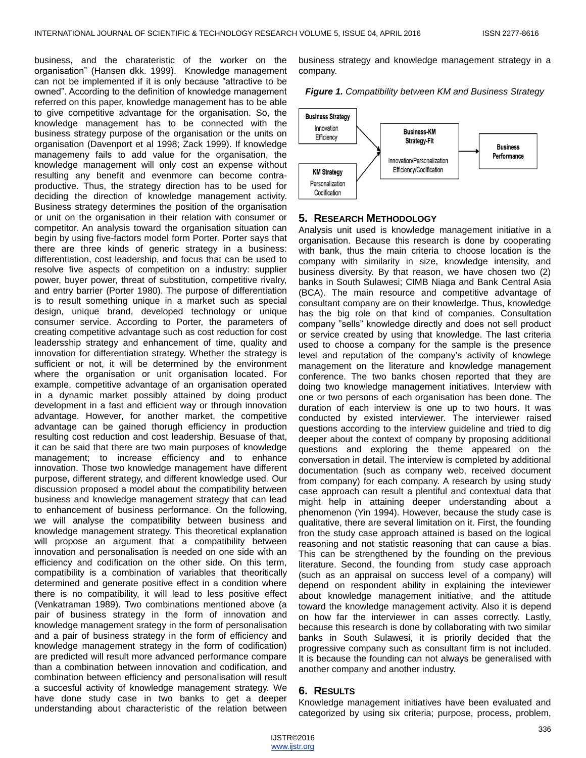business, and the charateristic of the worker on the organisation" (Hansen dkk. 1999). Knowledge management can not be implemented if it is only because "attractive to be owned". According to the definition of knowledge management referred on this paper, knowledge management has to be able to give competitive advantage for the organisation. So, the knowledge management has to be connected with the business strategy purpose of the organisation or the units on organisation (Davenport et al 1998; Zack 1999). If knowledge managemeny fails to add value for the organisation, the knowledge management will only cost an expense without resulting any benefit and evenmore can become contraproductive. Thus, the strategy direction has to be used for deciding the direction of knowledge management activity. Business strategy determines the position of the organisation or unit on the organisation in their relation with consumer or competitor. An analysis toward the organisation situation can begin by using five-factors model form Porter. Porter says that there are three kinds of generic strategy in a business: differentiation, cost leadership, and focus that can be used to resolve five aspects of competition on a industry: supplier power, buyer power, threat of substitution, competitive rivalry, and entry barrier (Porter 1980). The purpose of differentiation is to result something unique in a market such as special design, unique brand, developed technology or unique consumer service. According to Porter, the parameters of creating competitive advantage such as cost reduction for cost leadersship strategy and enhancement of time, quality and innovation for differentiation strategy. Whether the strategy is sufficient or not, it will be determined by the environment where the organisation or unit organisation located. For example, competitive advantage of an organisation operated in a dynamic market possibly attained by doing product development in a fast and efficient way or through innovation advantage. However, for another market, the competitive advantage can be gained thorugh efficiency in production resulting cost reduction and cost leadership. Besuase of that, it can be said that there are two main purposes of knowledge management; to increase efficiency and to enhance innovation. Those two knowledge management have different purpose, different strategy, and different knowledge used. Our discussion proposed a model about the compatibility between business and knowledge management strategy that can lead to enhancement of business performance. On the following, we will analyse the compatibility between business and knowledge management strategy. This theoretical explanation will propose an argument that a compatibility between innovation and personalisation is needed on one side with an efficiency and codification on the other side. On this term, compatibility is a combination of variables that theoritically determined and generate positive effect in a condition where there is no compatibility, it will lead to less positive effect (Venkatraman 1989). Two combinations mentioned above (a pair of business strategy in the form of innovation and knowledge management srategy in the form of personalisation and a pair of business strategy in the form of efficiency and knowledge management strategy in the form of codification) are predicted will result more advanced performance compare than a combination between innovation and codification, and combination between efficiency and personalisation will result a succesful activity of knowledge management strategy. We have done study case in two banks to get a deeper understanding about characteristic of the relation between

business strategy and knowledge management strategy in a company.

#### *Figure 1. Compatibility between KM and Business Strategy*



#### **5. RESEARCH METHODOLOGY**

Analysis unit used is knowledge management initiative in a organisation. Because this research is done by cooperating with bank, thus the main criteria to choose location is the company with similarity in size, knowledge intensity, and business diversity. By that reason, we have chosen two (2) banks in South Sulawesi; CIMB Niaga and Bank Central Asia (BCA). The main resource and competitive advantage of consultant company are on their knowledge. Thus, knowledge has the big role on that kind of companies. Consultation company "sells" knowledge directly and does not sell product or service created by using that knowledge. The last criteria used to choose a company for the sample is the presence level and reputation of the company's activity of knowlege management on the literature and knowledge management conference. The two banks chosen reported that they are doing two knowledge management initiatives. Interview with one or two persons of each organisation has been done. The duration of each interview is one up to two hours. It was conducted by existed interviewer. The interviewer raised questions according to the interview guideline and tried to dig deeper about the context of company by proposing additional questions and exploring the theme appeared on the conversation in detail. The interview is completed by additional documentation (such as company web, received document from company) for each company. A research by using study case approach can result a plentiful and contextual data that might help in attaining deeper understanding about a phenomenon (Yin 1994). However, because the study case is qualitative, there are several limitation on it. First, the founding fron the study case approach attained is based on the logical reasoning and not statistic reasoning that can cause a bias. This can be strengthened by the founding on the previous literature. Second, the founding from study case approach (such as an appraisal on success level of a company) will depend on respondent ability in explaining the inteviewer about knowledge management initiative, and the attitude toward the knowledge management activity. Also it is depend on how far the interviewer in can asses correctly. Lastly, because this research is done by collaborating with two similar banks in South Sulawesi, it is priorily decided that the progressive company such as consultant firm is not included. It is because the founding can not always be generalised with another company and another industry.

#### **6. RESULTS**

Knowledge management initiatives have been evaluated and categorized by using six criteria; purpose, process, problem,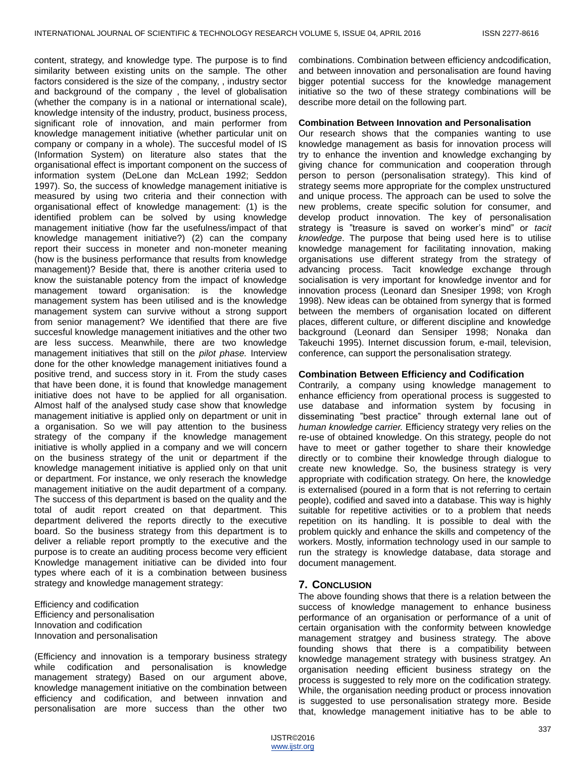content, strategy, and knowledge type. The purpose is to find similarity between existing units on the sample. The other factors considered is the size of the company, , industry sector and background of the company , the level of globalisation (whether the company is in a national or international scale), knowledge intensity of the industry, product, business process, significant role of innovation, and main performer from knowledge management initiative (whether particular unit on company or company in a whole). The succesful model of IS (Information System) on literature also states that the organisational effect is important component on the success of information system (DeLone dan McLean 1992; Seddon 1997). So, the success of knowledge management initiative is measured by using two criteria and their connection with organisational effect of knowledge management: (1) is the identified problem can be solved by using knowledge management initiative (how far the usefulness/impact of that knowledge management initiative?) (2) can the company report their success in moneter and non-moneter meaning (how is the business performance that results from knowledge management)? Beside that, there is another criteria used to know the suistanable potency from the impact of knowledge management toward organisation: is the knowledge management system has been utilised and is the knowledge management system can survive without a strong support from senior management? We identified that there are five succesful knowledge management initiatives and the other two are less success. Meanwhile, there are two knowledge management initiatives that still on the *pilot phase.* Interview done for the other knowledge management initiatives found a positive trend, and success story in it. From the study cases that have been done, it is found that knowledge management initiative does not have to be applied for all organisation. Almost half of the analysed study case show that knowledge management initiative is applied only on department or unit in a organisation. So we will pay attention to the business strategy of the company if the knowledge management initiative is wholly applied in a company and we will concern on the business strategy of the unit or department if the knowledge management initiative is applied only on that unit or department. For instance, we only reserach the knowledge management initiative on the audit department of a company. The success of this department is based on the quality and the total of audit report created on that department. This department delivered the reports directly to the executive board. So the business strategy from this department is to deliver a reliable report promptly to the executive and the purpose is to create an auditing process become very efficient Knowledge management initiative can be divided into four types where each of it is a combination between business strategy and knowledge management strategy:

Efficiency and codification Efficiency and personalisation Innovation and codification Innovation and personalisation

(Efficiency and innovation is a temporary business strategy while codification and personalisation is knowledge management strategy) Based on our argument above, knowledge management initiative on the combination between efficiency and codification, and between innvation and personalisation are more success than the other two

combinations. Combination between efficiency andcodification, and between innovation and personalisation are found having bigger potential success for the knowledge management initiative so the two of these strategy combinations will be describe more detail on the following part.

### **Combination Between Innovation and Personalisation**

Our research shows that the companies wanting to use knowledge management as basis for innovation process will try to enhance the invention and knowledge exchanging by giving chance for communication and cooperation through person to person (personalisation strategy). This kind of strategy seems more appropriate for the complex unstructured and unique process. The approach can be used to solve the new problems, create specific solution for consumer, and develop product innovation. The key of personalisation strategy is "treasure is saved on worker's mind" or *tacit knowledge*. The purpose that being used here is to utilise knowledge management for facilitating innovation, making organisations use different strategy from the strategy of advancing process. Tacit knowledge exchange through socialisation is very important for knowledge inventor and for innovation process (Leonard dan Snesiper 1998; von Krogh 1998). New ideas can be obtained from synergy that is formed between the members of organisation located on different places, different culture, or different discipline and knowledge background (Leonard dan Sensiper 1998; Nonaka dan Takeuchi 1995). Internet discussion forum, e-mail, television, conference, can support the personalisation strategy.

## **Combination Between Efficiency and Codification**

Contrarily, a company using knowledge management to enhance efficiency from operational process is suggested to use database and information system by focusing in disseminating "best practice" through external lane out of *human knowledge carrier.* Efficiency strategy very relies on the re-use of obtained knowledge. On this strategy, people do not have to meet or gather together to share their knowledge directly or to combine their knowledge through dialogue to create new knowledge. So, the business strategy is very appropriate with codification strategy. On here, the knowledge is externalised (poured in a form that is not referring to certain people), codified and saved into a database. This way is highly suitable for repetitive activities or to a problem that needs repetition on its handling. It is possible to deal with the problem quickly and enhance the skills and competency of the workers. Mostly, information technology used in our sample to run the strategy is knowledge database, data storage and document management.

# **7. CONCLUSION**

The above founding shows that there is a relation between the success of knowledge management to enhance business performance of an organisation or performance of a unit of certain organisation with the conformity between knowledge management stratgey and business strategy. The above founding shows that there is a compatibility between knowledge management strategy with business stratgey. An organisation needing efficient business strategy on the process is suggested to rely more on the codification strategy. While, the organisation needing product or process innovation is suggested to use personalisation strategy more. Beside that, knowledge management initiative has to be able to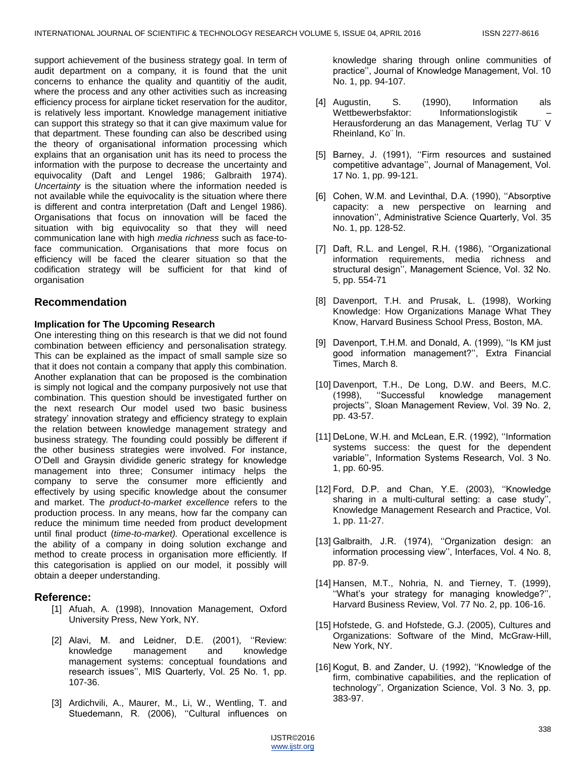support achievement of the business strategy goal. In term of audit department on a company, it is found that the unit concerns to enhance the quality and quantitiy of the audit, where the process and any other activities such as increasing efficiency process for airplane ticket reservation for the auditor, is relatively less important. Knowledge management initiative can support this strategy so that it can give maximum value for that department. These founding can also be described using the theory of organisational information processing which explains that an organisation unit has its need to process the information with the purpose to decrease the uncertainty and equivocality (Daft and Lengel 1986; Galbraith 1974). *Uncertainty* is the situation where the information needed is not available while the equivocality is the situation where there is different and contra interpretation (Daft and Lengel 1986). Organisations that focus on innovation will be faced the situation with big equivocality so that they will need communication lane with high *media richness* such as face-toface communication. Organisations that more focus on efficiency will be faced the clearer situation so that the codification strategy will be sufficient for that kind of organisation

# **Recommendation**

## **Implication for The Upcoming Research**

One interesting thing on this research is that we did not found combination between efficiency and personalisation strategy. This can be explained as the impact of small sample size so that it does not contain a company that apply this combination. Another explanation that can be proposed is the combination is simply not logical and the company purposively not use that combination. This question should be investigated further on the next research Our model used two basic business strategy' innovation strategy and efficiency strategy to explain the relation between knowledge management strategy and business strategy. The founding could possibly be different if the other business strategies were involved. For instance, O'Dell and Graysin dividide generic strategy for knowledge management into three; Consumer intimacy helps the company to serve the consumer more efficiently and effectively by using specific knowledge about the consumer and market. The *product-to-market excellence* refers to the production process. In any means, how far the company can reduce the minimum time needed from product development until final product (*time-to-market).* Operational excellence is the ability of a company in doing solution exchange and method to create process in organisation more efficiently. If this categorisation is applied on our model, it possibly will obtain a deeper understanding.

# **Reference:**

- [1] Afuah, A. (1998), Innovation Management, Oxford University Press, New York, NY.
- [2] Alavi, M. and Leidner, D.E. (2001), "Review: knowledge management and knowledge management systems: conceptual foundations and research issues'', MIS Quarterly, Vol. 25 No. 1, pp. 107-36.
- [3] Ardichvili, A., Maurer, M., Li, W., Wentling, T. and Stuedemann, R. (2006), ''Cultural influences on

knowledge sharing through online communities of practice'', Journal of Knowledge Management, Vol. 10 No. 1, pp. 94-107.

- [4] Augustin, S. (1990), Information als Wettbewerbsfaktor: Informationslogistik Herausforderung an das Management, Verlag TU¨ V Rheinland, Ko¨ ln.
- [5] Barney, J. (1991), "Firm resources and sustained competitive advantage'', Journal of Management, Vol. 17 No. 1, pp. 99-121.
- [6] Cohen, W.M. and Levinthal, D.A. (1990), "Absorptive capacity: a new perspective on learning and innovation'', Administrative Science Quarterly, Vol. 35 No. 1, pp. 128-52.
- [7] Daft, R.L. and Lengel, R.H. (1986), "Organizational information requirements, media richness and structural design'', Management Science, Vol. 32 No. 5, pp. 554-71
- [8] Davenport, T.H. and Prusak, L. (1998), Working Knowledge: How Organizations Manage What They Know, Harvard Business School Press, Boston, MA.
- [9] Davenport, T.H.M. and Donald, A. (1999), ''Is KM just good information management?'', Extra Financial Times, March 8.
- [10] Davenport, T.H., De Long, D.W. and Beers, M.C. (1998), ''Successful knowledge management projects'', Sloan Management Review, Vol. 39 No. 2, pp. 43-57.
- [11] DeLone, W.H. and McLean, E.R. (1992), "Information systems success: the quest for the dependent variable'', Information Systems Research, Vol. 3 No. 1, pp. 60-95.
- [12] Ford, D.P. and Chan, Y.E. (2003), "Knowledge sharing in a multi-cultural setting: a case study'', Knowledge Management Research and Practice, Vol. 1, pp. 11-27.
- [13] Galbraith, J.R. (1974), "Organization design: an information processing view'', Interfaces, Vol. 4 No. 8, pp. 87-9.
- [14] Hansen, M.T., Nohria, N. and Tierney, T. (1999), ''What's your strategy for managing knowledge?'', Harvard Business Review, Vol. 77 No. 2, pp. 106-16.
- [15] Hofstede, G. and Hofstede, G.J. (2005), Cultures and Organizations: Software of the Mind, McGraw-Hill, New York, NY.
- [16] Kogut, B. and Zander, U. (1992), ''Knowledge of the firm, combinative capabilities, and the replication of technology'', Organization Science, Vol. 3 No. 3, pp. 383-97.